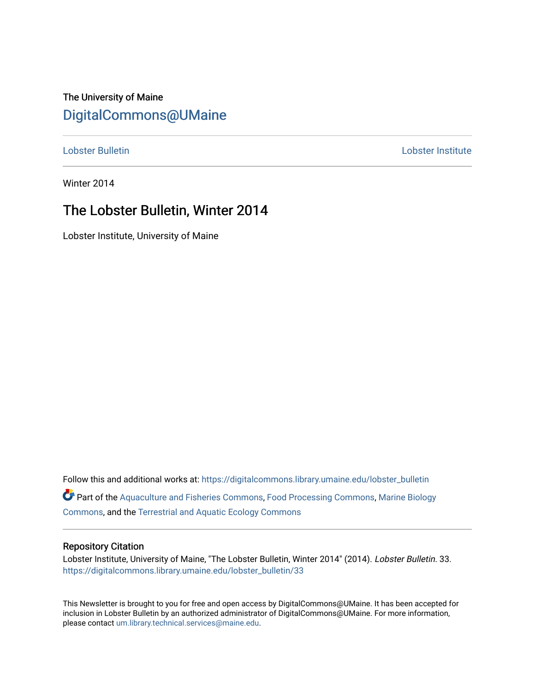## The University of Maine [DigitalCommons@UMaine](https://digitalcommons.library.umaine.edu/)

[Lobster Bulletin](https://digitalcommons.library.umaine.edu/lobster_bulletin) [Lobster Institute](https://digitalcommons.library.umaine.edu/lobster) 

Winter 2014

## The Lobster Bulletin, Winter 2014

Lobster Institute, University of Maine

Follow this and additional works at: [https://digitalcommons.library.umaine.edu/lobster\\_bulletin](https://digitalcommons.library.umaine.edu/lobster_bulletin?utm_source=digitalcommons.library.umaine.edu%2Flobster_bulletin%2F33&utm_medium=PDF&utm_campaign=PDFCoverPages) Part of the [Aquaculture and Fisheries Commons](http://network.bepress.com/hgg/discipline/78?utm_source=digitalcommons.library.umaine.edu%2Flobster_bulletin%2F33&utm_medium=PDF&utm_campaign=PDFCoverPages), [Food Processing Commons,](http://network.bepress.com/hgg/discipline/85?utm_source=digitalcommons.library.umaine.edu%2Flobster_bulletin%2F33&utm_medium=PDF&utm_campaign=PDFCoverPages) [Marine Biology](http://network.bepress.com/hgg/discipline/1126?utm_source=digitalcommons.library.umaine.edu%2Flobster_bulletin%2F33&utm_medium=PDF&utm_campaign=PDFCoverPages) [Commons](http://network.bepress.com/hgg/discipline/1126?utm_source=digitalcommons.library.umaine.edu%2Flobster_bulletin%2F33&utm_medium=PDF&utm_campaign=PDFCoverPages), and the [Terrestrial and Aquatic Ecology Commons](http://network.bepress.com/hgg/discipline/20?utm_source=digitalcommons.library.umaine.edu%2Flobster_bulletin%2F33&utm_medium=PDF&utm_campaign=PDFCoverPages) 

### Repository Citation

Lobster Institute, University of Maine, "The Lobster Bulletin, Winter 2014" (2014). Lobster Bulletin. 33. [https://digitalcommons.library.umaine.edu/lobster\\_bulletin/33](https://digitalcommons.library.umaine.edu/lobster_bulletin/33?utm_source=digitalcommons.library.umaine.edu%2Flobster_bulletin%2F33&utm_medium=PDF&utm_campaign=PDFCoverPages) 

This Newsletter is brought to you for free and open access by DigitalCommons@UMaine. It has been accepted for inclusion in Lobster Bulletin by an authorized administrator of DigitalCommons@UMaine. For more information, please contact [um.library.technical.services@maine.edu.](mailto:um.library.technical.services@maine.edu)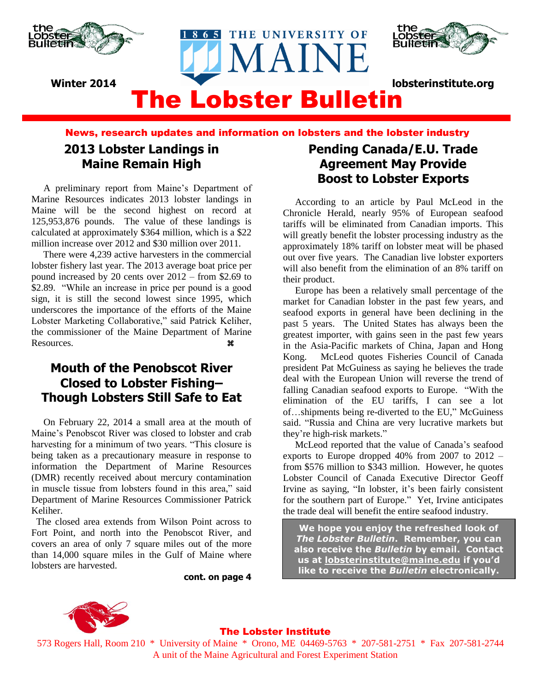



## The Lobster Bulletin **Winter 2014 lobsterinstitute.org**

THE UNIVERSITY OF

MAINE

News, research updates and information on lobsters and the lobster industry

## **2013 Lobster Landings in Maine Remain High**

 A preliminary report from Maine's Department of Marine Resources indicates 2013 lobster landings in Maine will be the second highest on record at 125,953,876 pounds. The value of these landings is calculated at approximately \$364 million, which is a \$22 million increase over 2012 and \$30 million over 2011.

There were 4,239 active harvesters in the commercial lobster fishery last year. The 2013 average boat price per pound increased by 20 cents over 2012 – from \$2.69 to \$2.89. "While an increase in price per pound is a good sign, it is still the second lowest since 1995, which underscores the importance of the efforts of the Maine Lobster Marketing Collaborative," said Patrick Keliher, the commissioner of the Maine Department of Marine Resources.

## **Mouth of the Penobscot River Closed to Lobster Fishing– Though Lobsters Still Safe to Eat**

 On February 22, 2014 a small area at the mouth of Maine's Penobscot River was closed to lobster and crab harvesting for a minimum of two years. "This closure is being taken as a precautionary measure in response to information the Department of Marine Resources (DMR) recently received about mercury contamination in muscle tissue from lobsters found in this area," said Department of Marine Resources Commissioner Patrick Keliher.

 The closed area extends from Wilson Point across to Fort Point, and north into the Penobscot River, and covers an area of only 7 square miles out of the more than 14,000 square miles in the Gulf of Maine where lobsters are harvested.

**cont. on page 4**

## **Pending Canada/E.U. Trade Agreement May Provide Boost to Lobster Exports**

According to an article by Paul McLeod in the Chronicle Herald, nearly 95% of European seafood tariffs will be eliminated from Canadian imports. This will greatly benefit the lobster processing industry as the approximately 18% tariff on lobster meat will be phased out over five years. The Canadian live lobster exporters will also benefit from the elimination of an 8% tariff on their product.

 Europe has been a relatively small percentage of the market for Canadian lobster in the past few years, and seafood exports in general have been declining in the past 5 years. The United States has always been the greatest importer, with gains seen in the past few years in the Asia-Pacific markets of China, Japan and Hong Kong. McLeod quotes Fisheries Council of Canada president Pat McGuiness as saying he believes the trade deal with the European Union will reverse the trend of falling Canadian seafood exports to Europe. "With the elimination of the EU tariffs, I can see a lot of…shipments being re-diverted to the EU," McGuiness said. "Russia and China are very lucrative markets but they're high-risk markets."

 McLeod reported that the value of Canada's seafood exports to Europe dropped 40% from 2007 to 2012 – from \$576 million to \$343 million. However, he quotes Lobster Council of Canada Executive Director Geoff Irvine as saying, "In lobster, it's been fairly consistent for the southern part of Europe." Yet, Irvine anticipates the trade deal will benefit the entire seafood industry.

**We hope you enjoy the refreshed look of**  *The Lobster Bulletin***. Remember, you can also receive the** *Bulletin* **by email. Contact us at [lobsterinstitute@maine.edu](mailto:lobsterinstitute@maine.edu) if you'd like to receive the** *Bulletin* **electronically.**



### The Lobster Institute

573 Rogers Hall, Room 210 \* University of Maine \* Orono, ME 04469-5763 \* 207-581-2751 \* Fax 207-581-2744 A unit of the Maine Agricultural and Forest Experiment Station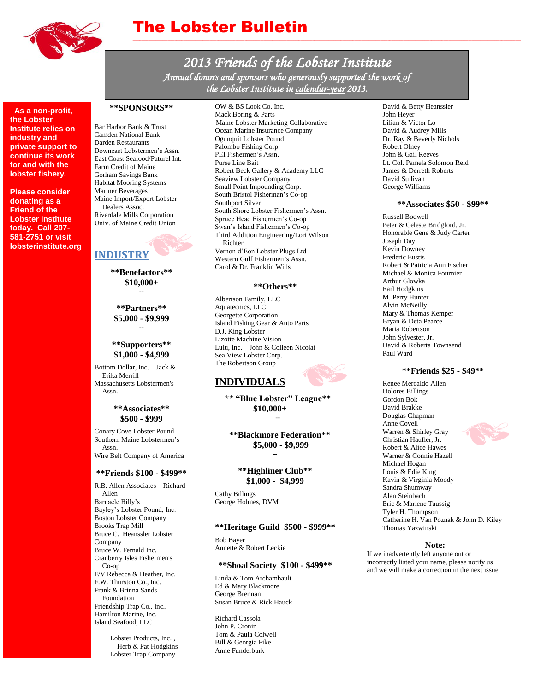

## The Lobster Bulletin

*2013 Friends of the Lobster Institute Annual donors and sponsors who generously supported the work of the Lobster Institute in calendar-year 2013.* 

 **As a non-profit, the Lobster Institute relies on industry and private support to continue its work for and with the lobster fishery.**

**Please consider donating as a Friend of the Lobster Institute today. Call 207- 581-2751 or visit lobsterinstitute.org**

#### **\*\*SPONSORS\*\***

Bar Harbor Bank & Trust Camden National Bank Darden Restaurants Downeast Lobstermen's Assn. East Coast Seafood/Paturel Int. Farm Credit of Maine Gorham Savings Bank Habitat Mooring Systems Mariner Beverages Maine Import/Export Lobster Dealers Assoc. Riverdale Mills Corporation Univ. of Maine Credit Union

### **INDUSTRY**

**\*\*Benefactors\*\* \$10,000+** --

**\*\*Partners\*\* \$5,000 - \$9,999 --**

#### **\*\*Supporters\*\* \$1,000 - \$4,999**

Bottom Dollar, Inc. – Jack & Erika Merrill Massachusetts Lobstermen's Assn.

#### **\*\*Associates\*\* \$500 - \$999**

Conary Cove Lobster Pound Southern Maine Lobstermen's Assn. Wire Belt Company of America

#### **\*\*Friends \$100 - \$499\*\***

R.B. Allen Associates – Richard Allen Barnacle Billy's Bayley's Lobster Pound, Inc. Boston Lobster Company Brooks Trap Mill Bruce C. Heanssler Lobster Company Bruce W. Fernald Inc. Cranberry Isles Fishermen's Co-op F/V Rebecca & Heather, Inc. F.W. Thurston Co., Inc. Frank & Brinna Sands Foundation Friendship Trap Co., Inc.. Hamilton Marine, Inc. Island Seafood, LLC

> Lobster Products, Inc. , Herb & Pat Hodgkins Lobster Trap Company

OW & BS Look Co. Inc.

Mack Boring & Parts Maine Lobster Marketing Collaborative Ocean Marine Insurance Company Ogunquit Lobster Pound Palombo Fishing Corp. PEI Fishermen's Assn. Purse Line Bait Robert Beck Gallery & Academy LLC Seaview Lobster Company Small Point Impounding Corp. South Bristol Fisherman's Co-op Southport Silver South Shore Lobster Fishermen's Assn. Spruce Head Fishermen's Co-op Swan's Island Fishermen's Co-op Third Addition Engineering/Lori Wilson Richter Vernon d'Eon Lobster Plugs Ltd Western Gulf Fishermen's Assn. Carol & Dr. Franklin Wills

#### **\*\*Others\*\***

Albertson Family, LLC Aquatecnics, LLC Georgette Corporation Island Fishing Gear & Auto Parts D.J. King Lobster Lizotte Machine Vision Lulu, Inc. – John & Colleen Nicolai Sea View Lobster Corp. The Robertson Group

### **INDIVIDUALS**

**\*\* "Blue Lobster" League\*\* \$10,000+ --**

**\*\*Blackmore Federation\*\* \$5,000 - \$9,999**

--

**\*\*Highliner Club\*\* \$1,000 - \$4,999**

Cathy Billings George Holmes, DVM

#### **\*\*Heritage Guild \$500 - \$999\*\***

Bob Bayer Annette & Robert Leckie

#### **\*\*Shoal Society \$100 - \$499\*\***

Linda & Tom Archambault Ed & Mary Blackmore George Brennan Susan Bruce & Rick Hauck

Richard Cassola John P. Cronin Tom & Paula Colwell Bill & Georgia Fike Anne Funderburk

David & Betty Heanssler John Heyer Lilian & Victor Lo David & Audrey Mills Dr. Ray & Beverly Nichols Robert Olney John & Gail Reeves Lt. Col. Pamela Solomon Reid James & Derreth Roberts David Sullivan George Williams

#### **\*\*Associates \$50 - \$99\*\***

Russell Bodwell Peter & Celeste Bridgford, Jr. Honorable Gene & Judy Carter Joseph Day Kevin Downey Frederic Eustis Robert & Patricia Ann Fischer Michael & Monica Fournier Arthur Glowka Earl Hodgkins M. Perry Hunter Alvin McNeilly Mary & Thomas Kemper Bryan & Deta Pearce Maria Robertson John Sylvester, Jr. David & Roberta Townsend Paul Ward

#### **\*\*Friends \$25 - \$49\*\***

Renee Mercaldo Allen Dolores Billings Gordon Bok David Brakke Douglas Chapman Anne Covell Warren & Shirley Gray Christian Haufler, Jr. Robert & Alice Hawes Warner & Connie Hazell Michael Hogan Louis & Edie King Kavin & Virginia Moody Sandra Shumway Alan Steinbach Eric & Marlene Taussig Tyler H. Thompson Catherine H. Van Poznak & John D. Kiley Thomas Yazwinski

#### **Note:**

If we inadvertently left anyone out or incorrectly listed your name, please notify us and we will make a correction in the next issue

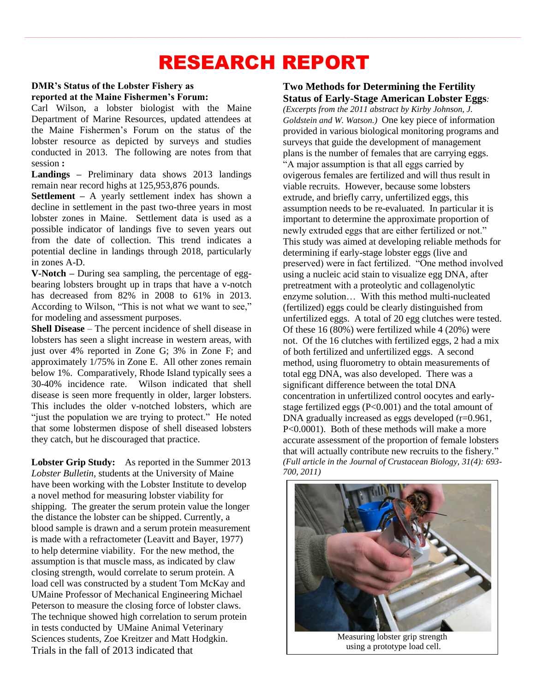# RESEARCH REPORT

### **DMR's Status of the Lobster Fishery as reported at the Maine Fishermen's Forum:**

Carl Wilson, a lobster biologist with the Maine Department of Marine Resources, updated attendees at the Maine Fishermen's Forum on the status of the lobster resource as depicted by surveys and studies conducted in 2013. The following are notes from that session **:**

**Landings –** Preliminary data shows 2013 landings remain near record highs at 125,953,876 pounds.

**Settlement –** A yearly settlement index has shown a decline in settlement in the past two-three years in most lobster zones in Maine. Settlement data is used as a possible indicator of landings five to seven years out from the date of collection. This trend indicates a potential decline in landings through 2018, particularly in zones A-D.

**V-Notch –** During sea sampling, the percentage of eggbearing lobsters brought up in traps that have a v-notch has decreased from 82% in 2008 to 61% in 2013. According to Wilson, "This is not what we want to see," for modeling and assessment purposes.

**Shell Disease** – The percent incidence of shell disease in lobsters has seen a slight increase in western areas, with just over 4% reported in Zone G; 3% in Zone F; and approximately 1/75% in Zone E. All other zones remain below 1%. Comparatively, Rhode Island typically sees a 30-40% incidence rate. Wilson indicated that shell disease is seen more frequently in older, larger lobsters. This includes the older v-notched lobsters, which are "just the population we are trying to protect." He noted that some lobstermen dispose of shell diseased lobsters they catch, but he discouraged that practice.

**Lobster Grip Study:** As reported in the Summer 2013 *Lobster Bulletin*, students at the University of Maine have been working with the Lobster Institute to develop a novel method for measuring lobster viability for shipping. The greater the serum protein value the longer the distance the lobster can be shipped. Currently, a blood sample is drawn and a serum protein measurement is made with a refractometer (Leavitt and Bayer, 1977) to help determine viability. For the new method, the assumption is that muscle mass, as indicated by claw closing strength, would correlate to serum protein. A load cell was constructed by a student Tom McKay and UMaine Professor of Mechanical Engineering Michael Peterson to measure the closing force of lobster claws. The technique showed high correlation to serum protein in tests conducted by UMaine Animal Veterinary Sciences students, Zoe Kreitzer and Matt Hodgkin. Trials in the fall of 2013 indicated that

### **Two Methods for Determining the Fertility Status of Early-Stage American Lobster Eggs***:*

*(Excerpts from the 2011 abstract by Kirby Johnson, J. Goldstein and W. Watson.)* One key piece of information provided in various biological monitoring programs and surveys that guide the development of management plans is the number of females that are carrying eggs. "A major assumption is that all eggs carried by ovigerous females are fertilized and will thus result in viable recruits. However, because some lobsters extrude, and briefly carry, unfertilized eggs, this assumption needs to be re-evaluated. In particular it is important to determine the approximate proportion of newly extruded eggs that are either fertilized or not." This study was aimed at developing reliable methods for determining if early-stage lobster eggs (live and preserved) were in fact fertilized. "One method involved using a nucleic acid stain to visualize egg DNA, after pretreatment with a proteolytic and collagenolytic enzyme solution… With this method multi-nucleated (fertilized) eggs could be clearly distinguished from unfertilized eggs. A total of 20 egg clutches were tested. Of these 16 (80%) were fertilized while 4 (20%) were not. Of the 16 clutches with fertilized eggs, 2 had a mix of both fertilized and unfertilized eggs. A second method, using fluorometry to obtain measurements of total egg DNA, was also developed. There was a significant difference between the total DNA concentration in unfertilized control oocytes and earlystage fertilized eggs (P<0.001) and the total amount of DNA gradually increased as eggs developed  $(r=0.961,$ P<0.0001). Both of these methods will make a more accurate assessment of the proportion of female lobsters that will actually contribute new recruits to the fishery." *(Full article in the Journal of Crustacean Biology, 31(4): 693- 700, 2011)*



using a prototype load cell.